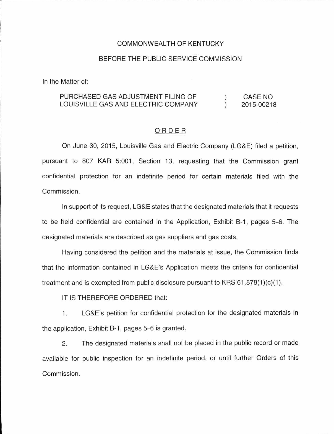### COMMONWEALTH OF KENTUCKY

## BEFORE THE PUBLIC SERVICE COMMISSION

In the Matter of:

#### PURCHASED GAS ADJUSTMENT FILING OF CASE NO  $\left( \right)$ LOUISVILLE GAS AND ELECTRIC COMPANY  $\mathcal{L}$ 2015-00218

### ORDER

On June 30, 2015, Louisville Gas and Electric Company (LG&E) filed a petition, pursuant to 807 KAR 5:001, Section 13, requesting that the Commission grant confidential protection for an indefinite period for certain materials filed with the Commission.

In support of its request, LG&E states that the designated materials that it requests to be held confidential are contained in the Application, Exhibit B-1, pages 5-6. The designated materials are described as gas suppliers and gas costs.

Having considered the petition and the materials at issue, the Commission finds that the information contained in LG&E's Application meets the criteria for confidential treatment and is exempted from public disclosure pursuant to KRS  $61.878(1)(c)(1)$ .

IT IS THEREFORE ORDERED that:

1. LG&E's petition for confidential protection for the designated materials in the application, Exhibit B-1, pages 5-6 is granted.

2. The designated materials shall not be placed in the public record or made available for public inspection for an indefinite period, or until further Orders of this Commission.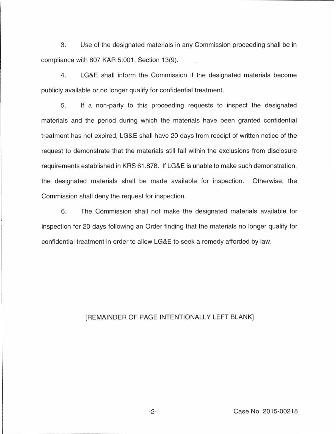3. Use of the designated materials in any Commission proceeding shall be in compliance with 807 KAR 5:001, Section 13(9).

4. LG&E shall inform the Commission if the designated materials become publicly available or no longer qualify for confidential treatment.

5. If a non-party to this proceeding requests to inspect the designated materials and the period during which the materials have been granted confidential treatment has not expired, LG&E shall have 20 days from receipt of written notice of the request to demonstrate that the materials still fall within the exclusions from disclosure requirements established in KRS 61.878. If LG&E is unable to make such demonstration, the designated materials shall be made available for inspection. Otherwise, the Commission shall deny the request for inspection.

6. The Commission shall not make the designated materials available for inspection for 20 days following an Order finding that the materials no longer qualify for confidential treatment in order to allow LG&E to seek a remedy afforded by law.

# [REMAINDER OF PAGE INTENTIONALLY LEFT BLANK]